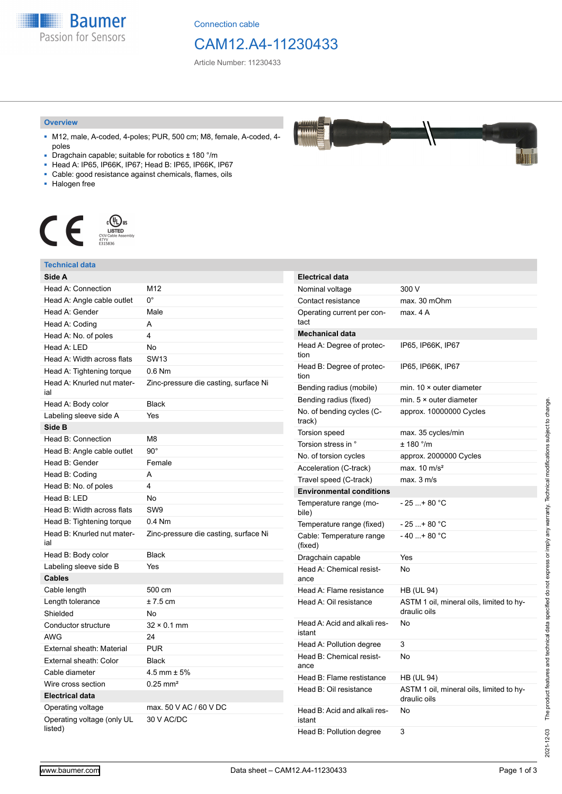**Baumer** Passion for Sensors

Connection cable

# CAM12.A4-11230433

Article Number: 11230433

#### **Overview**

- M12, male, A-coded, 4-poles; PUR, 500 cm; M8, female, A-coded, 4 poles
- Dragchain capable; suitable for robotics ± 180 °/m
- Head A: IP65, IP66K, IP67; Head B: IP65, IP66K, IP67
- Cable: good resistance against chemicals, flames, oils
- Halogen free



## **Technical data**

| Side A                                |                                       | <b>Electrical data</b>     |
|---------------------------------------|---------------------------------------|----------------------------|
| Head A: Connection                    | M12                                   | Nominal voltage            |
| Head A: Angle cable outlet            | 0°                                    | Contact resista            |
| Head A: Gender                        | Male                                  | Operating curre            |
| Head A: Coding                        | A                                     | tact                       |
| Head A: No. of poles                  | 4                                     | Mechanical da              |
| Head A: LED                           | <b>No</b>                             | Head A: Degree             |
| Head A: Width across flats            | <b>SW13</b>                           | tion                       |
| Head A: Tightening torque             | $0.6$ Nm                              | Head B: Degree<br>tion     |
| Head A: Knurled nut mater-<br>ial     | Zinc-pressure die casting, surface Ni | Bending radius             |
| Head A: Body color                    | <b>Black</b>                          | Bending radius             |
| Labeling sleeve side A                | Yes                                   | No. of bending             |
| Side B                                |                                       | track)                     |
| Head B: Connection                    | M8                                    | Torsion speed              |
| Head B: Angle cable outlet            | $90^\circ$                            | Torsion stress i           |
| Head B: Gender                        | Female                                | No. of torsion c           |
| Head B: Coding                        | A                                     | Acceleration (C            |
| Head B: No. of poles                  | 4                                     | Travel speed (C            |
| Head B: LED                           | No                                    | Environmenta               |
| Head B: Width across flats            | SW <sub>9</sub>                       | Temperature ra<br>bile)    |
| Head B: Tightening torque             | $0.4$ Nm                              | Temperature ra             |
| Head B: Knurled nut mater-<br>ial     | Zinc-pressure die casting, surface Ni | Cable: Tempera<br>(fixed)  |
| Head B: Body color                    | <b>Black</b>                          | Dragchain capa             |
| Labeling sleeve side B                | Yes                                   | Head A: Chemi              |
| <b>Cables</b>                         |                                       | ance                       |
| Cable length                          | 500 cm                                | Head A: Flame              |
| Length tolerance                      | $± 7.5$ cm                            | Head A: Oil res            |
| Shielded                              | <b>No</b>                             |                            |
| Conductor structure                   | $32 \times 0.1$ mm                    | Head A: Acid ar            |
| <b>AWG</b>                            | 24                                    | istant                     |
| External sheath: Material             | <b>PUR</b>                            | Head A: Pollutio           |
| External sheath: Color                | <b>Black</b>                          | Head B: Chemi<br>ance      |
| Cable diameter                        | 4.5 mm $\pm$ 5%                       | Head B: Flame              |
| Wire cross section                    | $0.25 \text{ mm}^2$                   | Head B: Oil res            |
| <b>Electrical data</b>                |                                       |                            |
| Operating voltage                     | max, 50 V AC / 60 V DC                | Head B: Acid ar            |
| Operating voltage (only UL<br>listed) | 30 V AC/DC                            | istant<br>Head B: Pollutio |

| Nominal voltage                        | 300 V                                                    |
|----------------------------------------|----------------------------------------------------------|
| Contact resistance                     | max. 30 mOhm                                             |
| Operating current per con-<br>tact     | max. 4 A                                                 |
| <b>Mechanical data</b>                 |                                                          |
| Head A: Degree of protec-<br>tion      | IP65, IP66K, IP67                                        |
| Head B: Degree of protec-<br>tion      | IP65, IP66K, IP67                                        |
| Bending radius (mobile)                | min. $10 \times$ outer diameter                          |
| Bending radius (fixed)                 | min. $5 \times$ outer diameter                           |
| No. of bending cycles (C-<br>track)    | approx. 10000000 Cycles                                  |
| Torsion speed                          | max. 35 cycles/min                                       |
| Torsion stress in °                    | ± 180 °/m                                                |
| No. of torsion cycles                  | approx. 2000000 Cycles                                   |
| Acceleration (C-track)                 | max. $10 \text{ m/s}^2$                                  |
| Travel speed (C-track)                 | max. 3 m/s                                               |
| <b>Environmental conditions</b>        |                                                          |
| Temperature range (mo-<br>bile)        | - 25 + 80 °C                                             |
| Temperature range (fixed)              | $-25+80 °C$                                              |
| Cable: Temperature range<br>(fixed)    | $-40+80 °C$                                              |
| Dragchain capable                      | Yes                                                      |
| Head A: Chemical resist-<br>ance       | No                                                       |
| Head A: Flame resistance               | <b>HB (UL 94)</b>                                        |
| Head A: Oil resistance                 | ASTM 1 oil, mineral oils, limited to hy-<br>draulic oils |
| Head A: Acid and alkali res-<br>istant | No                                                       |
| Head A: Pollution degree               | 3                                                        |
| Head B: Chemical resist-<br>ance       | No                                                       |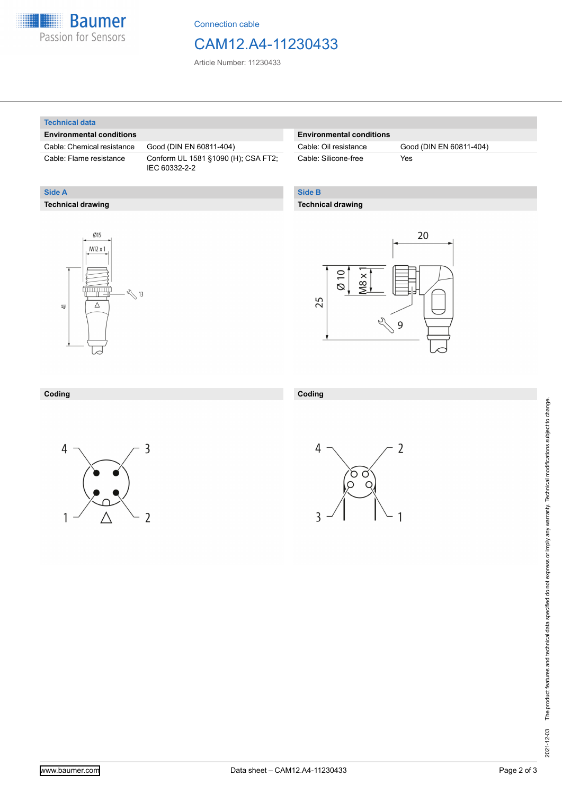

Connection cable

# CAM12.A4-11230433

Article Number: 11230433

#### **Technical data**

**Technical drawing**

**Side A**

#### **Environmental conditions**

Cable: Chemical resistance Good (DIN EN 60811-404)

Cable: Flame resistance Conform UL 1581 §1090 (H); CSA FT2; IEC 60332-2-2

#### **Environmental conditions**

| Cable: Oil resistance |  |
|-----------------------|--|
| Cable: Silicone-free  |  |

Good (DIN EN 60811-404) Yes

### **Side B**

**Coding**

 $\overline{3}$ 

### **Technical drawing**





2

### **Coding**